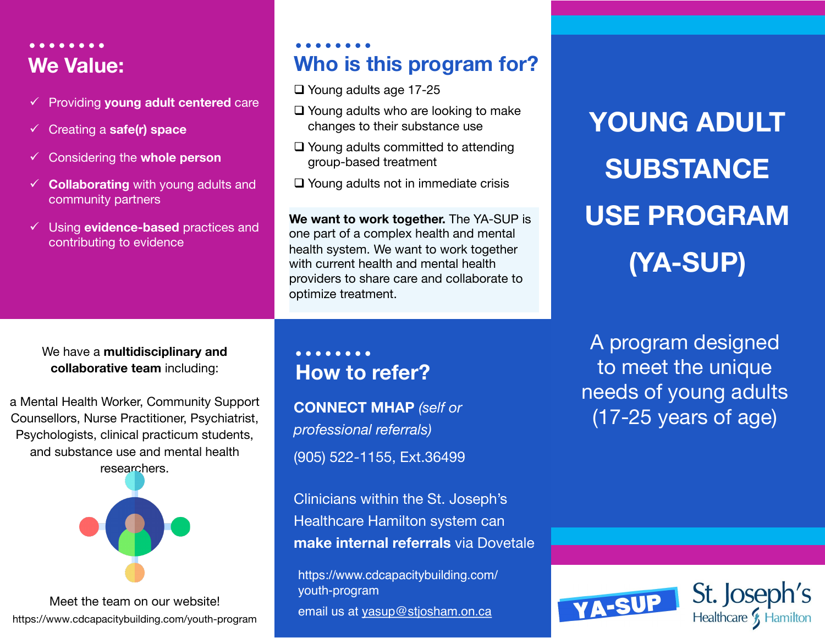## **We Value:**

- ü Providing **young adult centered** care
- ü Creating a **safe(r) space**
- ü Considering the **whole person**
- $\checkmark$  **Collaborating** with young adults and community partners
- ü Using **evidence-based** practices and contributing to evidence

### **Who is this program for?**

- $\Box$  Young adults age 17-25
- $\Box$  Young adults who are looking to make changes to their substance use
- $\Box$  Young adults committed to attending group-based treatment
- $\Box$  Young adults not in immediate crisis

**We want to work together.** The YA-SUP is one part of a complex health and mental health system. We want to work together with current health and mental health providers to share care and collaborate to optimize treatment.

#### We have a **multidisciplinary and collaborative team** including:

a Mental Health Worker, Community Support Counsellors, Nurse Practitioner, Psychiatrist, Psychologists, clinical practicum students, and substance use and mental health researchers.



Meet the team on our website! https://www.cdcapacitybuilding.com/youth-program

## **How to refer?**

**CONNECT MHAP** *(self or profession[al referrals\)](mailto:yasup@stjosham.on.ca)*  (905) 522-1155, Ext.36499

Clinicians within the St. Joseph's Healthcare Hamilton system can **make internal referrals** via Dovetale

https://www.cdcapacitybuilding.com/ youth-program email us at yasup@stjosham.on.ca

# **YOU SU USE PROGRAM (YA-SUP)**

A prc to m needs (17-2